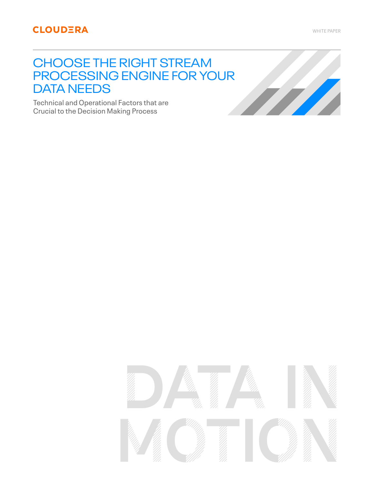# CHOOSE THE RIGHT STREAM PROCESSING ENGINE FOR YOUR DATA NEEDS

Technical and Operational Factors that are Crucial to the Decision Making Process

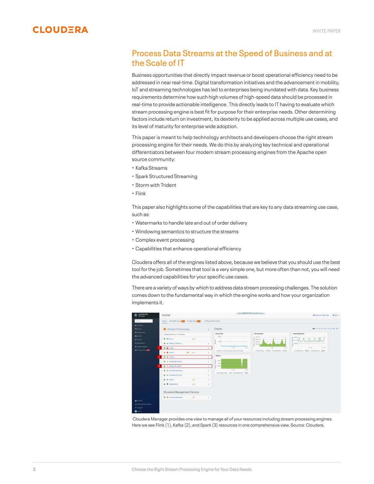

## Process Data Streams at the Speed of Business and at the Scale of IT

Business opportunities that directly impact revenue or boost operational efficiency need to be addressed in near real-time. Digital transformation initiatives and the advancement in mobility, IoT and streaming technologies has led to enterprises being inundated with data. Key business requirements determine how such high volumes of high-speed data should be processed in real-time to provide actionable intelligence. This directly leads to IT having to evaluate which stream processing engine is best fit for purpose for their enterprise needs. Other determining factors include return on investment, its dexterity to be applied across multiple use cases, and its level of maturity for enterprise wide adoption.

This paper is meant to help technology architects and developers choose the right stream processing engine for their needs. We do this by analyzing key technical and operational differentiators between four modern stream processing engines from the Apache open source community:

- Kafka Streams
- Spark Structured Streaming
- Storm with Trident
- Flink

This paper also highlights some of the capabilities that are key to any data streaming use case, such as:

- Watermarks to handle late and out of order delivery
- Windowing semantics to structure the streams
- Complex event processing
- Capabilities that enhance operational efficiency

Cloudera offers all of the engines listed above, because we believe that you should use the best tool for the job. Sometimes that tool is a very simple one, but more often than not, you will need the advanced capabilities for your specific use cases.

There are a variety of ways by which to address data stream processing challenges. The solution comes down to the fundamental way in which the engine works and how your organization implements it.



 Cloudera Manager provides one view to manage all of your resources including stream processing engines. Here we see Flink (1), Kafka (2), and Spark (3) resources in one comprehensive view. Source: Cloudera.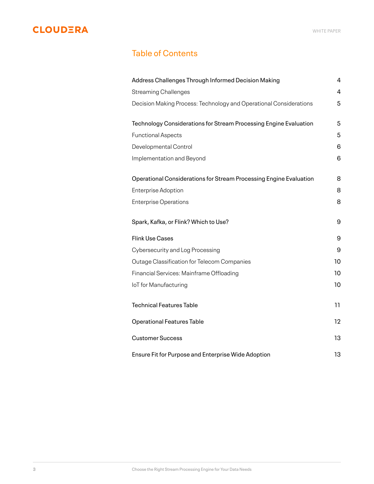## Table of Contents

| Address Challenges Through Informed Decision Making                | 4  |
|--------------------------------------------------------------------|----|
| <b>Streaming Challenges</b>                                        | 4  |
| Decision Making Process: Technology and Operational Considerations | 5  |
| Technology Considerations for Stream Processing Engine Evaluation  | 5  |
|                                                                    | 5  |
| <b>Functional Aspects</b>                                          |    |
| Developmental Control                                              | 6  |
| Implementation and Beyond                                          | 6  |
| Operational Considerations for Stream Processing Engine Evaluation | 8  |
| <b>Enterprise Adoption</b>                                         | 8  |
| <b>Enterprise Operations</b>                                       | 8  |
|                                                                    |    |
| Spark, Kafka, or Flink? Which to Use?                              | 9  |
| <b>Flink Use Cases</b>                                             | 9  |
| Cybersecurity and Log Processing                                   | 9  |
| Outage Classification for Telecom Companies                        | 10 |
| Financial Services: Mainframe Offloading                           | 10 |
| IoT for Manufacturing                                              | 10 |
| <b>Technical Features Table</b>                                    | 11 |
|                                                                    |    |
| <b>Operational Features Table</b>                                  | 12 |
| <b>Customer Success</b>                                            | 13 |
| Ensure Fit for Purpose and Enterprise Wide Adoption                | 13 |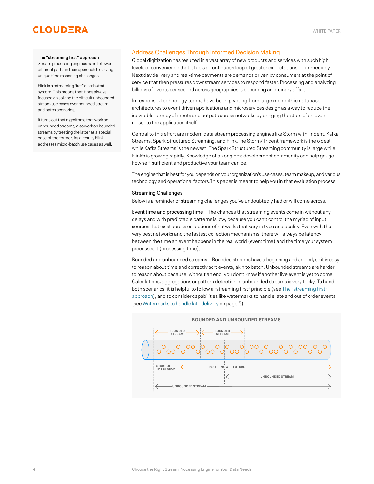### **The "streaming first" approach**

Stream processing engines have followed different paths in their approach to solving unique time reasoning challenges.

Flink is a "streaming first" distributed system. This means that it has always focused on solving the difficult unbounded stream use cases over bounded stream and batch scenarios.

It turns out that algorithms that work on unbounded streams, also work on bounded streams by treating the latter as a special case of the former. As a result, Flink addresses micro-batch use cases as well.

## <span id="page-3-0"></span>Address Challenges Through Informed Decision Making

Global digitization has resulted in a vast array of new products and services with such high levels of convenience that it fuels a continuous loop of greater expectations for immediacy. Next day delivery and real-time payments are demands driven by consumers at the point of service that then pressures downstream services to respond faster. Processing and analyzing billions of events per second across geographies is becoming an ordinary affair.

In response, technology teams have been pivoting from large monolithic database architectures to event driven applications and microservices design as a way to reduce the inevitable latency of inputs and outputs across networks by bringing the state of an event closer to the application itself.

Central to this effort are modern data stream processing engines like Storm with Trident, Kafka Streams, Spark Structured Streaming, and Flink.The Storm/Trident framework is the oldest, while Kafka Streams is the newest. The Spark Structured Streaming community is large while Flink's is growing rapidly. Knowledge of an engine's development community can help gauge how self-sufficient and productive your team can be.

The engine that is best for you depends on your organization's use cases, team makeup, and various technology and operational factors.This paper is meant to help you in that evaluation process.

### <span id="page-3-1"></span>Streaming Challenges

Below is a reminder of streaming challenges you've undoubtedly had or will come across.

Event time and processing time—The chances that streaming events come in without any delays and with predictable patterns is low, because you can't control the myriad of input sources that exist across collections of networks that vary in type and quality. Even with the very best networks and the fastest collection mechanisms, there will always be latency between the time an event happens in the real world (event time) and the time your system processes it (processing time).

Bounded and unbounded streams—Bounded streams have a beginning and an end, so it is easy to reason about time and correctly sort events, akin to batch. Unbounded streams are harder to reason about because, without an end, you don't know if another live event is yet to come. Calculations, aggregations or pattern detection in unbounded streams is very tricky. To handle both scenarios, it is helpful to follow a "streaming first" principle (see The "streaming first" approach), and to consider capabilities like watermarks to handle late and out of order events (see [Watermarks to handle late delivery](#page-4-3) on page 5).

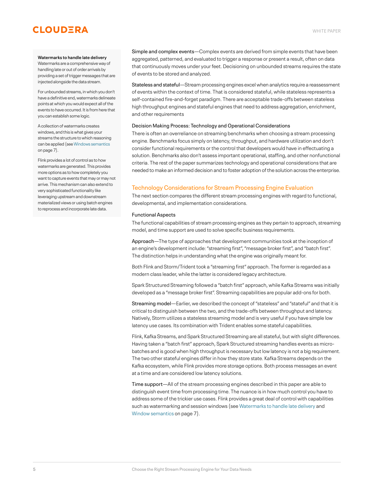#### <span id="page-4-3"></span>**Watermarks to handle late delivery**

Watermarks are a comprehensive way of handling late or out of order arrivals by providing a set of trigger messages that are injected alongside the data stream.

For unbounded streams, in which you don't have a definitive end, watermarks delineate points at which you would expect all of the events to have occurred. It is from here that you can establish some logic.

A collection of watermarks creates windows, and this is what gives your streams the structure to which reasoning can be applied (see [Windows semantics](#page-6-0) on page 7).

Flink provides a lot of control as to how watermarks are generated. This provides more options as to how completely you want to capture events that may or may not arrive. This mechanism can also extend to very sophisticated functionality like leveraging upstream and downstream materialized views or using batch engines to reprocess and incorporate late data.

Simple and complex events—Complex events are derived from simple events that have been aggregated, patterned, and evaluated to trigger a response or present a result, often on data that continuously moves under your feet. Decisioning on unbounded streams requires the state of events to be stored and analyzed.

Stateless and stateful—Stream processing engines excel when analytics require a reassessment of events within the context of time. That is considered stateful, while stateless represents a self-contained fire-and-forget paradigm. There are acceptable trade-offs between stateless high throughput engines and stateful engines that need to address aggregation, enrichment, and other requirements

### <span id="page-4-0"></span>Decision Making Process: Technology and Operational Considerations

There is often an overreliance on streaming benchmarks when choosing a stream processing engine. Benchmarks focus simply on latency, throughput, and hardware utilization and don't consider functional requirements or the control that developers would have in effectuating a solution. Benchmarks also don't assess important operational, staffing, and other nonfunctional criteria. The rest of the paper summarizes technology and operational considerations that are needed to make an informed decision and to foster adoption of the solution across the enterprise.

## <span id="page-4-1"></span>Technology Considerations for Stream Processing Engine Evaluation

The next section compares the different stream processing engines with regard to functional, developmental, and implementation considerations.

#### <span id="page-4-2"></span>Functional Aspects

The functional capabilities of stream processing engines as they pertain to approach, streaming model, and time support are used to solve specific business requirements.

Approach—The type of approaches that development communities took at the inception of an engine's development include: "streaming first", "message broker first", and "batch first". The distinction helps in understanding what the engine was originally meant for.

Both Flink and Storm/Trident took a "streaming first" approach. The former is regarded as a modern class leader, while the latter is considered legacy architecture.

Spark Structured Streaming followed a "batch first" approach, while Kafka Streams was initially developed as a "message broker first". Streaming capabilities are popular add-ons for both.

Streaming model—Earlier, we described the concept of "stateless" and "stateful" and that it is critical to distinguish between the two, and the trade-offs between throughput and latency. Natively, Storm utilizes a stateless streaming model and is very useful if you have simple low latency use cases. Its combination with Trident enables some stateful capabilities.

Flink, Kafka Streams, and Spark Structured Streaming are all stateful, but with slight differences. Having taken a "batch first" approach, Spark Structured streaming handles events as microbatches and is good when high throughput is necessary but low latency is not a big requirement. The two other stateful engines differ in how they store state. Kafka Streams depends on the Kafka ecosystem, while Flink provides more storage options. Both process messages an event at a time and are considered low latency solutions.

Time support—All of the stream processing engines described in this paper are able to distinguish event time from processing time. The nuance is in how much control you have to address some of the trickier use cases. Flink provides a great deal of control with capabilities such as watermarking and session windows (see [Watermarks to handle late delivery](#page-4-3) and [Window semantics](#page-6-0) on page 7).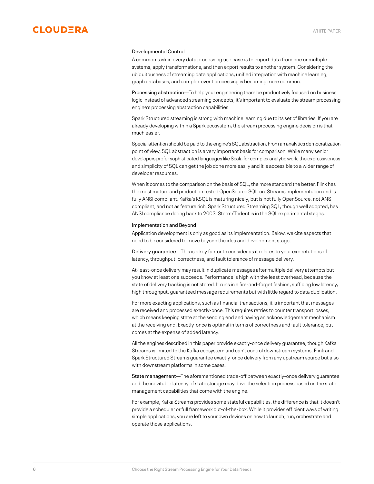

#### <span id="page-5-0"></span>Developmental Control

A common task in every data processing use case is to import data from one or multiple systems, apply transformations, and then export results to another system. Considering the ubiquitousness of streaming data applications, unified integration with machine learning, graph databases, and complex event processing is becoming more common.

Processing abstraction—To help your engineering team be productively focused on business logic instead of advanced streaming concepts, it's important to evaluate the stream processing engine's processing abstraction capabilities.

Spark Structured streaming is strong with machine learning due to its set of libraries. If you are already developing within a Spark ecosystem, the stream processing engine decision is that much easier.

Special attention should be paid to the engine's SQL abstraction. From an analytics democratization point of view, SQL abstraction is a very important basis for comparison. While many senior developers prefer sophisticated languages like Scala for complex analytic work, the expressiveness and simplicity of SQL can get the job done more easily and it is accessible to a wider range of developer resources.

When it comes to the comparison on the basis of SQL, the more standard the better. Flink has the most mature and production tested OpenSource SQL-on-Streams implementation and is fully ANSI compliant. Kafka's KSQL is maturing nicely, but is not fully OpenSource, not ANSI compliant, and not as feature rich. Spark Structured Streaming SQL, though well adopted, has ANSI compliance dating back to 2003. Storm/Trident is in the SQL experimental stages.

### <span id="page-5-1"></span>Implementation and Beyond

Application development is only as good as its implementation. Below, we cite aspects that need to be considered to move beyond the idea and development stage.

Delivery guarantee—This is a key factor to consider as it relates to your expectations of latency, throughput, correctness, and fault tolerance of message delivery.

At-least-once delivery may result in duplicate messages after multiple delivery attempts but you know at least one succeeds. Performance is high with the least overhead, because the state of delivery tracking is not stored. It runs in a fire-and-forget fashion, sufficing low latency, high throughput, guaranteed message requirements but with little regard to data duplication.

For more exacting applications, such as financial transactions, it is important that messages are received and processed exactly-once. This requires retries to counter transport losses, which means keeping state at the sending end and having an acknowledgement mechanism at the receiving end. Exactly-once is optimal in terms of correctness and fault tolerance, but comes at the expense of added latency.

All the engines described in this paper provide exactly-once delivery guarantee, though Kafka Streams is limited to the Kafka ecosystem and can't control downstream systems. Flink and Spark Structured Streams guarantee exactly-once delivery from any upstream source but also with downstream platforms in some cases.

<span id="page-5-2"></span>State management—The aforementioned trade-off between exactly-once delivery guarantee and the inevitable latency of state storage may drive the selection process based on the state management capabilities that come with the engine.

For example, Kafka Streams provides some stateful capabilities, the difference is that it doesn't provide a scheduler or full framework out-of-the-box. While it provides efficient ways of writing simple applications, you are left to your own devices on how to launch, run, orchestrate and operate those applications.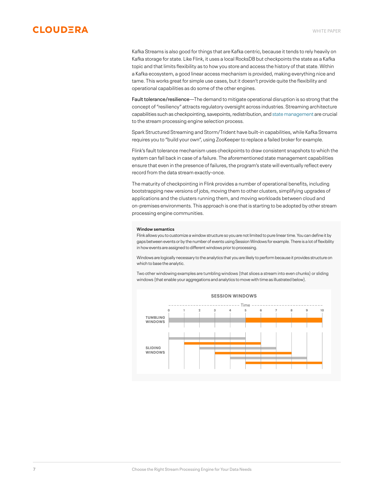Kafka Streams is also good for things that are Kafka centric, because it tends to rely heavily on Kafka storage for state. Like Flink, it uses a local RocksDB but checkpoints the state as a Kafka topic and that limits flexibility as to how you store and access the history of that state. Within a Kafka ecosystem, a good linear access mechanism is provided, making everything nice and tame. This works great for simple use cases, but it doesn't provide quite the flexibility and operational capabilities as do some of the other engines.

Fault tolerance/resilience—The demand to mitigate operational disruption is so strong that the concept of "resiliency" attracts regulatory oversight across industries. Streaming architecture capabilities such as checkpointing, savepoints, redistribution, and [state management](#page-5-2) are crucial to the stream processing engine selection process.

Spark Structured Streaming and Storm/Trident have built-in capabilities, while Kafka Streams requires you to "build your own", using ZooKeeper to replace a failed broker for example.

Flink's fault tolerance mechanism uses checkpoints to draw consistent snapshots to which the system can fall back in case of a failure. The aforementioned state management capabilities ensure that even in the presence of failures, the program's state will eventually reflect every record from the data stream exactly-once.

The maturity of checkpointing in Flink provides a number of operational benefits, including bootstrapping new versions of jobs, moving them to other clusters, simplifying upgrades of applications and the clusters running them, and moving workloads between cloud and on-premises environments. This approach is one that is starting to be adopted by other stream processing engine communities.

#### <span id="page-6-0"></span>**Window semantics**

Flink allows you to customize a window structure so you are not limited to pure linear time. You can define it by gaps between events or by the number of events using Session Windows for example. There is a lot of flexibility in how events are assigned to different windows prior to processing.

Windows are logically necessary to the analytics that you are likely to perform because it provides structure on which to base the analytic.

Two other windowing examples are tumbling windows (that slices a stream into even chunks) or sliding windows (that enable your aggregations and analytics to move with time as illustrated below).

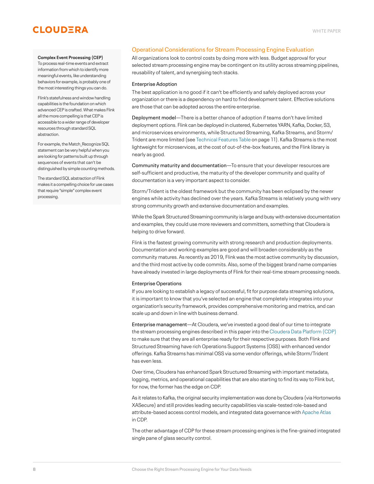### **Complex Event Processing (CEP)**

To process real-time events and extract information from which to identify more meaningful events, like understanding behaviors for example, is probably one of the most interesting things you can do.

Flink's statefulness and window handling capabilities is the foundation on which advanced CEP is crafted. What makes Flink all the more compelling is that CEP is accessible to a wider range of developer resources through standard SQL abstraction.

For example, the Match\_Recognize SQL statement can be very helpful when you are looking for patterns built up through sequences of events that can't be distinguished by simple counting methods.

The standard SQL abstraction of Flink makes it a compelling choice for use cases that require "simple" complex event processing.

## <span id="page-7-0"></span>Operational Considerations for Stream Processing Engine Evaluation

All organizations look to control costs by doing more with less. Budget approval for your selected stream processing engine may be contingent on its utility across streaming pipelines, reusability of talent, and synergising tech stacks.

## <span id="page-7-1"></span>Enterprise Adoption

The best application is no good if it can't be efficiently and safely deployed across your organization or there is a dependency on hard to find development talent. Effective solutions are those that can be adopted across the entire enterprise.

Deployment model—There is a better chance of adoption if teams don't have limited deployment options. Flink can be deployed in clustered, Kubernetes YARN, Kafka, Docker, S3, and microservices environments, while Structured Streaming, Kafka Streams, and Storm/ Trident are more limited (see [Technical Features Table](#page-10-0) on page 11). Kafka Streams is the most lightweight for microservices, at the cost of out-of-the-box features, and the Flink library is nearly as good.

Community maturity and documentation—To ensure that your developer resources are self-sufficient and productive, the maturity of the developer community and quality of documentation is a very important aspect to consider.

Storm/Trident is the oldest framework but the community has been eclipsed by the newer engines while activity has declined over the years. Kafka Streams is relatively young with very strong community growth and extensive documentation and examples.

While the Spark Structured Streaming community is large and busy with extensive documentation and examples, they could use more reviewers and committers, something that Cloudera is helping to drive forward.

Flink is the fastest growing community with strong research and production deployments. Documentation and working examples are good and will broaden considerably as the community matures. As recently as 2019, Flink was the most active community by discussion, and the third most active by code commits. Also, some of the biggest brand name companies have already invested in large deployments of Flink for their real-time stream processing needs.

### <span id="page-7-2"></span>Enterprise Operations

If you are looking to establish a legacy of successful, fit for purpose data streaming solutions, it is important to know that you've selected an engine that completely integrates into your organization's security framework, provides comprehensive monitoring and metrics, and can scale up and down in line with business demand.

Enterprise management—At Cloudera, we've invested a good deal of our time to integrate the stream processing engines described in this paper into the [Cloudera Data Platform \(CDP\)](https://www.cloudera.com/products/cloudera-data-platform.html) to make sure that they are all enterprise ready for their respective purposes. Both Flink and Structured Streaming have rich Operations Support Systems (OSS) with enhanced vendor offerings. Kafka Streams has minimal OSS via some vendor offerings, while Storm/Trident has even less.

Over time, Cloudera has enhanced Spark Structured Streaming with important metadata, logging, metrics, and operational capabilities that are also starting to find its way to Flink but, for now, the former has the edge on CDP.

As it relates to Kafka, the original security implementation was done by Cloudera (via Hortonworks XASecure) and still provides leading security capabilities via scale-tested role-based and attribute-based access control models, and integrated data governance with [Apache Atlas](https://www.cloudera.com/products/open-source/apache-hadoop/apache-atlas.html) in CDP.

The other advantage of CDP for these stream processing engines is the fine-grained integrated single pane of glass security control.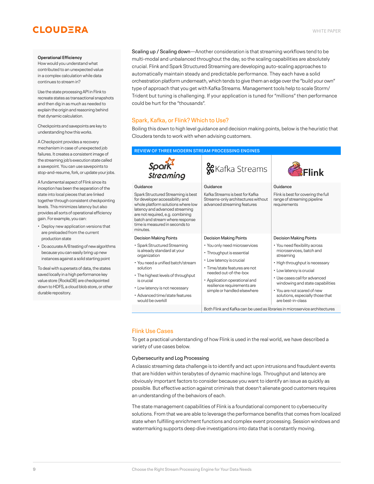#### **Operational Efficiency**

How would you understand what contributed to an unexpected value in a complex calculation while data continues to stream in?

Use the state processing API in Flink to recreate states as transactional snapshots and then dig in as much as needed to explain the origin and reasoning behind that dynamic calculation.

Checkpoints and savepoints are key to understanding how this works.

A Checkpoint provides a recovery mechanism in case of unexpected job failures. It creates a consistent image of the streaming job's execution state called a savepoint. You can use savepoints to stop-and-resume, fork, or update your jobs.

A fundamental aspect of Flink since its inception has been the separation of the state into local pieces that are linked together through consistent checkpointing levels. This minimizes latency but also provides all sorts of operational efficiency gain. For example, you can:

- Deploy new application versions that are preloaded from the current production state
- Do accurate A/B testing of new algorithms because you can easily bring up new instances against a solid starting point

To deal with supersets of data, the states saved locally in a high performance key value store (RocksDB) are checkpointed down to HDFS, a cloud blob store, or other durable repository.

Scaling up / Scaling down—Another consideration is that streaming workflows tend to be multi-modal and unbalanced throughout the day, so the scaling capabilities are absolutely crucial. Flink and Spark Structured Streaming are developing auto-scaling approaches to automatically maintain steady and predictable performance. They each have a solid orchestration platform underneath, which tends to give them an edge over the "build your own" type of approach that you get with Kafka Streams. Management tools help to scale Storm/ Trident but tuning is challenging. If your application is tuned for "millions" then performance could be hurt for the "thousands".

## <span id="page-8-0"></span>Spark, Kafka, or Flink? Which to Use?

Boiling this down to high level guidance and decision making points, below is the heuristic that Cloudera tends to work with when advising customers.

## **REVIEW OF THREE MODERN STREAM PROCESSING ENGINES**

| Spark<br>Streaming                                                                                                                                                                                                                                                                                         | &Kafka Streams                                                                                                                                                                                                                                                                   | <b>R</b> Flink                                                                                                                                                                                                                                                                                                                     |  |
|------------------------------------------------------------------------------------------------------------------------------------------------------------------------------------------------------------------------------------------------------------------------------------------------------------|----------------------------------------------------------------------------------------------------------------------------------------------------------------------------------------------------------------------------------------------------------------------------------|------------------------------------------------------------------------------------------------------------------------------------------------------------------------------------------------------------------------------------------------------------------------------------------------------------------------------------|--|
| Guidance<br>Spark Structured Streaming is best<br>for developer accessibility and<br>whole platform solutions where low<br>latency and advanced streaming<br>are not required, e.g. combining<br>batch and stream where response<br>time is measured in seconds to<br>minutes.                             | Guidance<br>Kafka Streams is best for Kafka<br>Streams-only architectures without<br>advanced streaming features                                                                                                                                                                 | Guidance<br>Flink is best for covering the full<br>range of streaming pipeline<br>requirements                                                                                                                                                                                                                                     |  |
| <b>Decision Making Points</b><br>• Spark Structured Streaming<br>is already standard at your<br>organization<br>• You need a unified batch/stream<br>solution<br>• The highest levels of throughput<br>is crucial<br>• Low latency is not necessary<br>• Advanced time/state features<br>would be overkill | <b>Decision Making Points</b><br>• You only need microservices<br>· Throughput is essential<br>• Low latency is crucial<br>• Time/state features are not<br>needed out-of-the-box<br>• Application operational and<br>resilience requirements are<br>simple or handled elsewhere | <b>Decision Making Points</b><br>• You need flexibility across<br>microservices, batch and<br>streaming<br>• High throughput is necessary<br>• Low latency is crucial<br>• Use cases call for advanced<br>windowing and state capabilities<br>• You are not scared of new<br>solutions, especially those that<br>are best-in-class |  |
|                                                                                                                                                                                                                                                                                                            | Both Flink and Kafka can be used as libraries in microservice architectures                                                                                                                                                                                                      |                                                                                                                                                                                                                                                                                                                                    |  |

## <span id="page-8-1"></span>Flink Use Cases

To get a practical understanding of how Flink is used in the real world, we have described a variety of use cases below.

## <span id="page-8-2"></span>Cybersecurity and Log Processing

A classic streaming data challenge is to identify and act upon intrusions and fraudulent events that are hidden within terabytes of dynamic machine logs. Throughput and latency are obviously important factors to consider because you want to identify an issue as quickly as possible. But effective action against criminals that doesn't alienate good customers requires an understanding of the behaviors of each.

The state management capabilities of Flink is a foundational component to cybersecurity solutions. From that we are able to leverage the performance benefits that comes from localized state when fulfilling enrichment functions and complex event processing. Session windows and watermarking supports deep dive investigations into data that is constantly moving.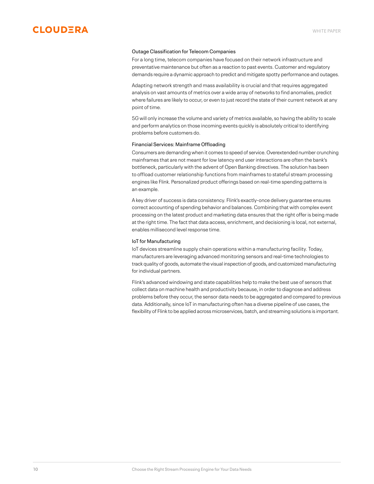

### <span id="page-9-0"></span>Outage Classification for Telecom Companies

For a long time, telecom companies have focused on their network infrastructure and preventative maintenance but often as a reaction to past events. Customer and regulatory demands require a dynamic approach to predict and mitigate spotty performance and outages.

Adapting network strength and mass availability is crucial and that requires aggregated analysis on vast amounts of metrics over a wide array of networks to find anomalies, predict where failures are likely to occur, or even to just record the state of their current network at any point of time.

5G will only increase the volume and variety of metrics available, so having the ability to scale and perform analytics on those incoming events quickly is absolutely critical to identifying problems before customers do.

### <span id="page-9-1"></span>Financial Services: Mainframe Offloading

Consumers are demanding when it comes to speed of service. Overextended number crunching mainframes that are not meant for low latency end user interactions are often the bank's bottleneck, particularly with the advent of Open Banking directives. The solution has been to offload customer relationship functions from mainframes to stateful stream processing engines like Flink. Personalized product offerings based on real-time spending patterns is an example.

A key driver of success is data consistency. Flink's exactly-once delivery guarantee ensures correct accounting of spending behavior and balances. Combining that with complex event processing on the latest product and marketing data ensures that the right offer is being made at the right time. The fact that data access, enrichment, and decisioning is local, not external, enables millisecond level response time.

## <span id="page-9-2"></span>IoT for Manufacturing

IoT devices streamline supply chain operations within a manufacturing facility. Today, manufacturers are leveraging advanced monitoring sensors and real-time technologies to track quality of goods, automate the visual inspection of goods, and customized manufacturing for individual partners.

Flink's advanced windowing and state capabilities help to make the best use of sensors that collect data on machine health and productivity because, in order to diagnose and address problems before they occur, the sensor data needs to be aggregated and compared to previous data. Additionally, since IoT in manufacturing often has a diverse pipeline of use cases, the flexibility of Flink to be applied across microservices, batch, and streaming solutions is important.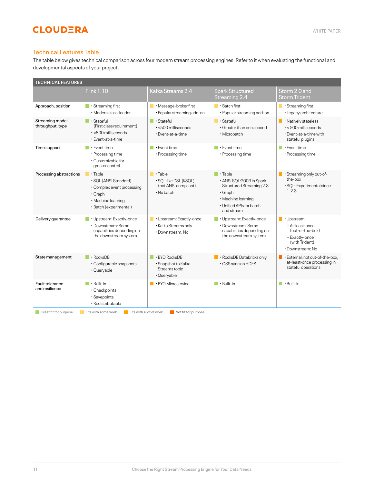## <span id="page-10-0"></span>Technical Features Table

The table below gives technical comparison across four modern stream processing engines. Refer to it when evaluating the functional and developmental aspects of your project.

| <b>TECHNICAL FEATURES</b>                                                                      |                                                                                                                                              |                                                                                       |                                                                                                                                                           |                                                                                                                           |  |  |
|------------------------------------------------------------------------------------------------|----------------------------------------------------------------------------------------------------------------------------------------------|---------------------------------------------------------------------------------------|-----------------------------------------------------------------------------------------------------------------------------------------------------------|---------------------------------------------------------------------------------------------------------------------------|--|--|
|                                                                                                | <b>Flink 1.10</b>                                                                                                                            | Kafka Streams 2.4                                                                     | <b>Spark Structured</b><br>Streaming 2.4                                                                                                                  | Storm 2.0 and<br><b>Storm Trident</b>                                                                                     |  |  |
| Approach, position                                                                             | $\blacksquare$ • Streaming first<br>· Modern class-leader                                                                                    | • Message-broker first<br>· Popular streaming add-on                                  | $\blacksquare$ • Batch first<br>· Popular streaming add-on                                                                                                | $\blacksquare$ • Streaming first<br>· Legacy architecture                                                                 |  |  |
| Streaming model,<br>throughput, type                                                           | $\blacksquare$ • Stateful<br>(First class requirement)<br>$\cdot$ <500 milliseconds<br>· Event-at-a-time                                     | • Stateful<br>$\cdot$ <500 milliseconds<br>• Event-at-a-time                          | П<br>· Stateful<br>• Greater than one second<br>• Microbatch                                                                                              | <b>Natively stateless</b><br>$\cdot$ < 500 milliseconds<br>• Event-at-a-time with<br>stateful plugins                     |  |  |
| Time support                                                                                   | • Event time<br>• Processing time<br>• Customizable for<br>greater control                                                                   | • Event time<br>• Processing time                                                     | $\blacksquare$ • Event time<br>• Processing time                                                                                                          | • Event time<br>• Processing time                                                                                         |  |  |
| Processing abstractions                                                                        | $\blacksquare \cdot$ Table<br>· SQL (ANSI Standard)<br>• Complex event processing<br>· Graph<br>• Machine learning<br>· Batch (experimental) | $\blacksquare$ • Table<br>· SQL-like DSL (KSQL)<br>(not ANSI compliant)<br>• No batch | $\blacksquare$ • Table<br>· ANSI SQL:2003 in Spark<br>Structured Streaming 2.3<br>• Graph<br>· Machine learning<br>· Unified APIs for batch<br>and stream | $\blacksquare$ • Streaming only out-of-<br>the-box<br>· SQL- Experimental since<br>1.2.3                                  |  |  |
| Delivery guarantee                                                                             | · Upstream: Exactly-once<br>· Downstream: Some<br>capabilities depending on<br>the downstream system                                         | · Upstream: Exactly-once<br>· Kafka Streams only<br>• Downstream: No                  | • Upstream: Exactly-once<br>· Downstream: Some<br>capabilities depending on<br>the downstream system                                                      | $\blacksquare$ • Upstream:<br>- At-least-once<br>(out-of-the-box)<br>- Exactly-once<br>(with Trident)<br>• Downstream: No |  |  |
| State management                                                                               | $\blacksquare$ • RocksDB<br>• Configurable snapshots<br>· Queryable                                                                          | $\cdot$ BYO RocksDB<br>· Snapshot to Kafka<br>Streams topic<br>· Queryable            | · RocksDB Databricks only<br>• OSS sync on HDFS                                                                                                           | External, not out-of-the-box,<br>∎ ∙<br>at-least-once processing in<br>stateful operations                                |  |  |
| Fault tolerance<br>and resilience                                                              | $\blacksquare$ • Built-in<br>· Checkpoints<br>· Savepoints<br>• Redistributable                                                              | • BYO Microservice                                                                    | $\blacksquare$ • Built-in                                                                                                                                 | $\blacksquare$ • Built-in                                                                                                 |  |  |
| Great fit for purpose<br>Fits with some work<br>Fits with a lot of work<br>Not fit for purpose |                                                                                                                                              |                                                                                       |                                                                                                                                                           |                                                                                                                           |  |  |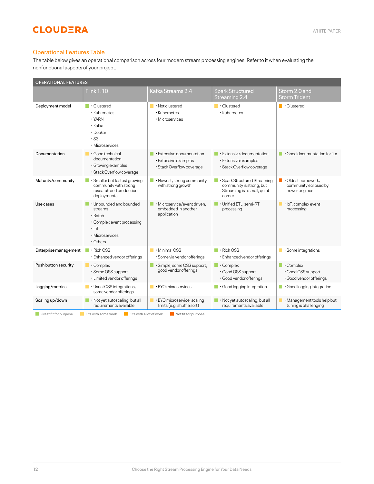## <span id="page-11-0"></span>Operational Features Table

The table below gives an operational comparison across four modern stream processing engines. Refer to it when evaluating the nonfunctional aspects of your project.

| <b>OPERATIONAL FEATURES</b>                                                                                   |                                                                                                                                 |                                                                                |                                                                                                   |                                                                              |  |  |
|---------------------------------------------------------------------------------------------------------------|---------------------------------------------------------------------------------------------------------------------------------|--------------------------------------------------------------------------------|---------------------------------------------------------------------------------------------------|------------------------------------------------------------------------------|--|--|
|                                                                                                               | <b>Flink 1.10</b>                                                                                                               | Kafka Streams 2.4                                                              | <b>Spark Structured</b><br>Streaming 2.4                                                          | Storm 2.0 and<br><b>Storm Trident</b>                                        |  |  |
| Deployment model                                                                                              | <b>Clustered</b><br>• Kubernetes<br>$\cdot$ YARN<br>• Kafka<br>$\cdot$ Docker<br>$\cdot$ S3<br>· Microservices                  | • Not clustered<br>· Kubernetes<br>· Microservices                             | $\blacksquare \cdot$ Clustered<br>• Kubernetes                                                    | $\blacksquare \cdot$ Clustered                                               |  |  |
| Documentation                                                                                                 | Good technical<br>documentation<br>· Growing examples<br>· Stack Overflow coverage                                              | • Extensive documentation<br>· Extensive examples<br>· Stack Overflow coverage | $\blacksquare$ • Extensive documentation<br>· Extensive examples<br>· Stack Overflow coverage     | $\cdot$ Good documentation for $1 \times$                                    |  |  |
| Maturity/community                                                                                            | · Smaller but fastest growing<br>community with strong<br>research and production<br>deployments                                | • Newest, strong community<br>with strong growth                               | · Spark Structured Streaming<br>community is strong, but<br>Streaming is a small, quiet<br>corner | $\blacksquare$ • Oldest framework,<br>community eclipsed by<br>newer engines |  |  |
| Use cases                                                                                                     | • Unbounded and bounded<br>streams<br>$\cdot$ Batch<br>• Complex event processing<br>$\cdot$ IoT<br>· Microservices<br>• Others | · Microservice/event driven,<br>embedded in another<br>application             | · Unified ETL, semi-RT<br>processing                                                              | $\blacksquare$ $\cdot$ loT, complex event<br>processing                      |  |  |
| Enterprise management                                                                                         | $\cdot$ Rich OSS<br><b>Tall</b><br>• Enhanced vendor offerings                                                                  | $\blacksquare$ • Minimal OSS<br>· Some via vendor offerings                    | $\blacksquare$ . Rich OSS<br>• Enhanced vendor offerings                                          | Some integrations                                                            |  |  |
| Push button security                                                                                          | • Complex<br>· Some OSS support<br>• Limited vendor offerings                                                                   | · Simple, some OSS support,<br>good vendor offerings                           | T.<br>• Complex<br>· Good OSS support<br>· Good vendor offerings                                  | I.<br>• Complex<br>· Good OSS support<br>· Good vendor offerings             |  |  |
| Logging/metrics                                                                                               | $\blacksquare$ • Usual OSS integrations,<br>some vendor offerings                                                               | $\cdot$ BYO microservices                                                      | · Good logging integration                                                                        | $\blacksquare$ Good logging integration                                      |  |  |
| Scaling up/down                                                                                               | . Not yet autoscaling, but all<br>requirements available                                                                        | BYO microservice, scaling<br>limits (e.g. shuffle sort)                        | . Not yet autoscaling, but all<br>requirements available                                          | · Management tools help but<br>tuning is challenging                         |  |  |
| Great fit for purpose<br>Fits with some work<br>$\blacksquare$ Fits with a lot of work<br>Not fit for purpose |                                                                                                                                 |                                                                                |                                                                                                   |                                                                              |  |  |